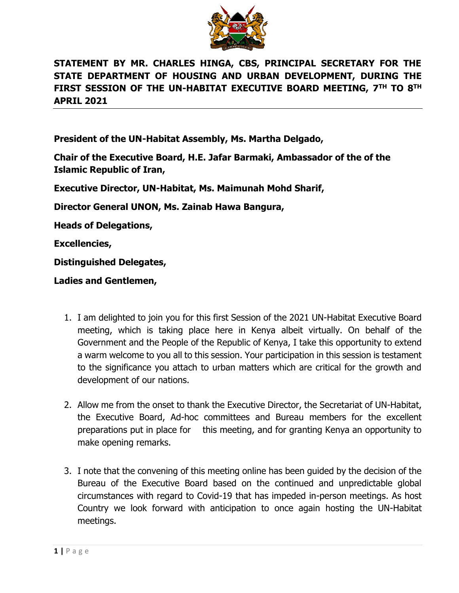

# **STATEMENT BY MR. CHARLES HINGA, CBS, PRINCIPAL SECRETARY FOR THE STATE DEPARTMENT OF HOUSING AND URBAN DEVELOPMENT, DURING THE FIRST SESSION OF THE UN-HABITAT EXECUTIVE BOARD MEETING, 7TH TO 8TH APRIL 2021**

**President of the UN-Habitat Assembly, Ms. Martha Delgado,**

**Chair of the Executive Board, H.E. Jafar Barmaki, Ambassador of the of the Islamic Republic of Iran,**

**Executive Director, UN-Habitat, Ms. Maimunah Mohd Sharif,**

**Director General UNON, Ms. Zainab Hawa Bangura,**

**Heads of Delegations,**

**Excellencies,**

**Distinguished Delegates,**

**Ladies and Gentlemen,**

- 1. I am delighted to join you for this first Session of the 2021 UN-Habitat Executive Board meeting, which is taking place here in Kenya albeit virtually. On behalf of the Government and the People of the Republic of Kenya, I take this opportunity to extend a warm welcome to you all to this session. Your participation in this session is testament to the significance you attach to urban matters which are critical for the growth and development of our nations.
- 2. Allow me from the onset to thank the Executive Director, the Secretariat of UN-Habitat, the Executive Board, Ad-hoc committees and Bureau members for the excellent preparations put in place for this meeting, and for granting Kenya an opportunity to make opening remarks.
- 3. I note that the convening of this meeting online has been guided by the decision of the Bureau of the Executive Board based on the continued and unpredictable global circumstances with regard to Covid-19 that has impeded in-person meetings. As host Country we look forward with anticipation to once again hosting the UN-Habitat meetings.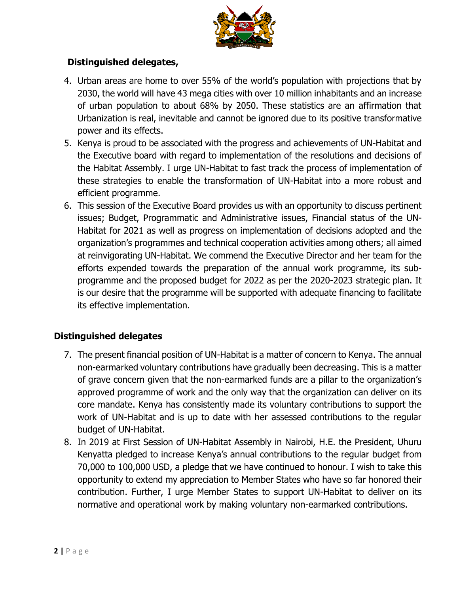

## **Distinguished delegates,**

- 4. Urban areas are home to over 55% of the world's population with projections that by 2030, the world will have 43 mega cities with over 10 million inhabitants and an increase of urban population to about 68% by 2050. These statistics are an affirmation that Urbanization is real, inevitable and cannot be ignored due to its positive transformative power and its effects.
- 5. Kenya is proud to be associated with the progress and achievements of UN-Habitat and the Executive board with regard to implementation of the resolutions and decisions of the Habitat Assembly. I urge UN-Habitat to fast track the process of implementation of these strategies to enable the transformation of UN-Habitat into a more robust and efficient programme.
- 6. This session of the Executive Board provides us with an opportunity to discuss pertinent issues; Budget, Programmatic and Administrative issues, Financial status of the UN-Habitat for 2021 as well as progress on implementation of decisions adopted and the organization's programmes and technical cooperation activities among others; all aimed at reinvigorating UN-Habitat. We commend the Executive Director and her team for the efforts expended towards the preparation of the annual work programme, its subprogramme and the proposed budget for 2022 as per the 2020-2023 strategic plan. It is our desire that the programme will be supported with adequate financing to facilitate its effective implementation.

## **Distinguished delegates**

- 7. The present financial position of UN-Habitat is a matter of concern to Kenya. The annual non-earmarked voluntary contributions have gradually been decreasing. This is a matter of grave concern given that the non-earmarked funds are a pillar to the organization's approved programme of work and the only way that the organization can deliver on its core mandate. Kenya has consistently made its voluntary contributions to support the work of UN-Habitat and is up to date with her assessed contributions to the regular budget of UN-Habitat.
- 8. In 2019 at First Session of UN-Habitat Assembly in Nairobi, H.E. the President, Uhuru Kenyatta pledged to increase Kenya's annual contributions to the regular budget from 70,000 to 100,000 USD, a pledge that we have continued to honour. I wish to take this opportunity to extend my appreciation to Member States who have so far honored their contribution. Further, I urge Member States to support UN-Habitat to deliver on its normative and operational work by making voluntary non-earmarked contributions.